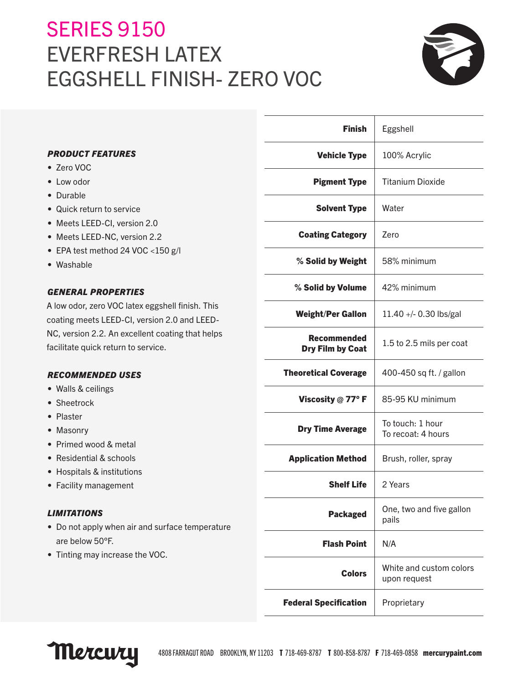# **SERIES 9150** EVERFRESH LATEX EGGSHELL FINISH- ZERO VOC



|                                                                                         | <b>Finish</b>                          | Eggshell                               |
|-----------------------------------------------------------------------------------------|----------------------------------------|----------------------------------------|
| <b>PRODUCT FEATURES</b>                                                                 | <b>Vehicle Type</b>                    | 100% Acrylic                           |
| • Zero VOC                                                                              |                                        |                                        |
| • Low odor                                                                              | <b>Pigment Type</b>                    | <b>Titanium Dioxide</b>                |
| • Durable                                                                               |                                        |                                        |
| • Quick return to service                                                               | <b>Solvent Type</b>                    | Water                                  |
| • Meets LEED-CI, version 2.0                                                            |                                        |                                        |
| • Meets LEED-NC, version 2.2                                                            | <b>Coating Category</b>                | Zero                                   |
| • EPA test method 24 VOC <150 g/l                                                       |                                        |                                        |
| • Washable                                                                              | % Solid by Weight                      | 58% minimum                            |
| <b>GENERAL PROPERTIES</b>                                                               | % Solid by Volume                      | 42% minimum                            |
| A low odor, zero VOC latex eggshell finish. This                                        | <b>Weight/Per Gallon</b>               | 11.40 +/- 0.30 lbs/gal                 |
| coating meets LEED-CI, version 2.0 and LEED-                                            |                                        |                                        |
| NC, version 2.2. An excellent coating that helps<br>facilitate quick return to service. | <b>Recommended</b><br>Dry Film by Coat | 1.5 to 2.5 mils per coat               |
| <b>RECOMMENDED USES</b>                                                                 | <b>Theoretical Coverage</b>            | 400-450 sq ft. / gallon                |
| • Walls & ceilings                                                                      |                                        |                                        |
| • Sheetrock                                                                             | Viscosity @ 77°F                       | 85-95 KU minimum                       |
| • Plaster                                                                               |                                        |                                        |
| • Masonry                                                                               | <b>Dry Time Average</b>                | To touch: 1 hour<br>To recoat: 4 hours |
| • Primed wood & metal                                                                   |                                        |                                        |
| • Residential & schools                                                                 | <b>Application Method</b>              | Brush, roller, spray                   |
| • Hospitals & institutions                                                              |                                        |                                        |
| • Facility management                                                                   | <b>Shelf Life</b>                      | 2 Years                                |
| <b>LIMITATIONS</b>                                                                      | <b>Packaged</b>                        | One, two and five gallon               |
| • Do not apply when air and surface temperature                                         |                                        | pails                                  |
| are below 50°F.                                                                         | <b>Flash Point</b>                     | N/A                                    |
| • Tinting may increase the VOC.                                                         | <b>Colors</b>                          | White and custom colors                |
|                                                                                         |                                        | upon request                           |
|                                                                                         | <b>Federal Specification</b>           | Proprietary                            |